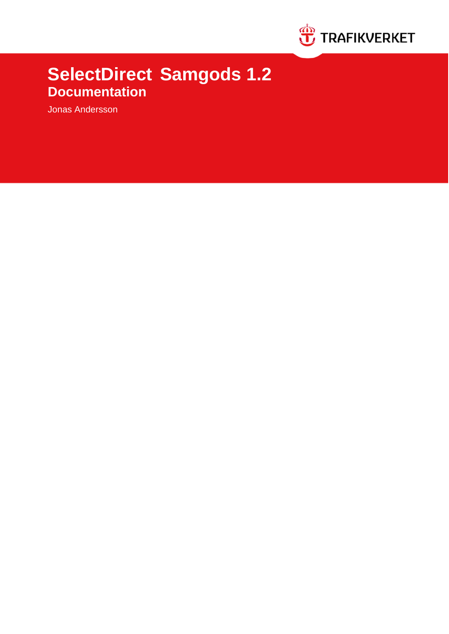

# **SelectDirect Samgods 1.2 Documentation**

Jonas Andersson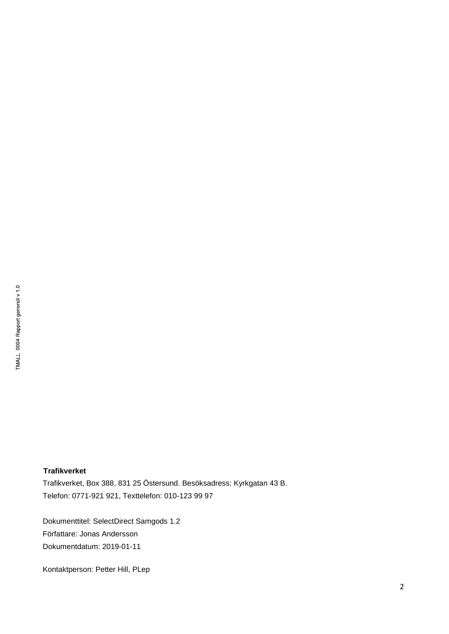# **Trafikverket**

Trafikverket, Box 388, 831 25 Östersund. Besöksadress: Kyrkgatan 43 B. Telefon: 0771-921 921, Texttelefon: 010-123 99 97

Dokumenttitel: SelectDirect Samgods 1.2 Författare: Jonas Andersson Dokumentdatum: 2019-01-11

Kontaktperson: Petter Hill, PLep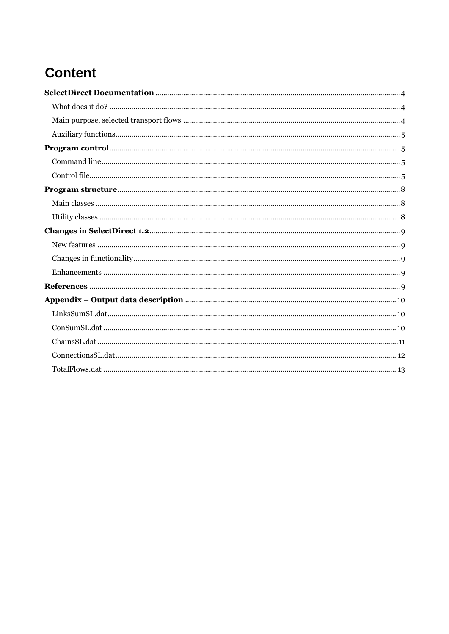# **Content**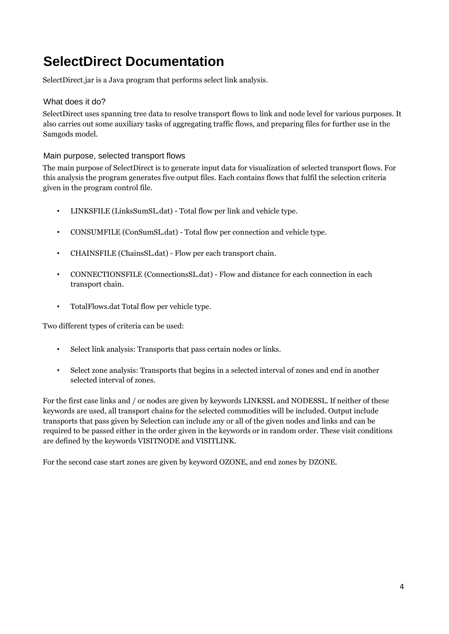# <span id="page-3-0"></span>**SelectDirect Documentation**

SelectDirect.jar is a Java program that performs select link analysis.

# <span id="page-3-1"></span>What does it do?

SelectDirect uses spanning tree data to resolve transport flows to link and node level for various purposes. It also carries out some auxiliary tasks of aggregating traffic flows, and preparing files for further use in the Samgods model.

<span id="page-3-2"></span>Main purpose, selected transport flows

The main purpose of SelectDirect is to generate input data for visualization of selected transport flows. For this analysis the program generates five output files. Each contains flows that fulfil the selection criteria given in the program control file.

- LINKSFILE (LinksSumSL.dat) Total flow per link and vehicle type.
- CONSUMFILE (ConSumSL.dat) Total flow per connection and vehicle type.
- CHAINSFILE (ChainsSL.dat) Flow per each transport chain.
- CONNECTIONSFILE (ConnectionsSL.dat) Flow and distance for each connection in each transport chain.
- TotalFlows.dat Total flow per vehicle type.

Two different types of criteria can be used:

- Select link analysis: Transports that pass certain nodes or links.
- Select zone analysis: Transports that begins in a selected interval of zones and end in another selected interval of zones.

For the first case links and / or nodes are given by keywords LINKSSL and NODESSL. If neither of these keywords are used, all transport chains for the selected commodities will be included. Output include transports that pass given by Selection can include any or all of the given nodes and links and can be required to be passed either in the order given in the keywords or in random order. These visit conditions are defined by the keywords VISITNODE and VISITLINK.

For the second case start zones are given by keyword OZONE, and end zones by DZONE.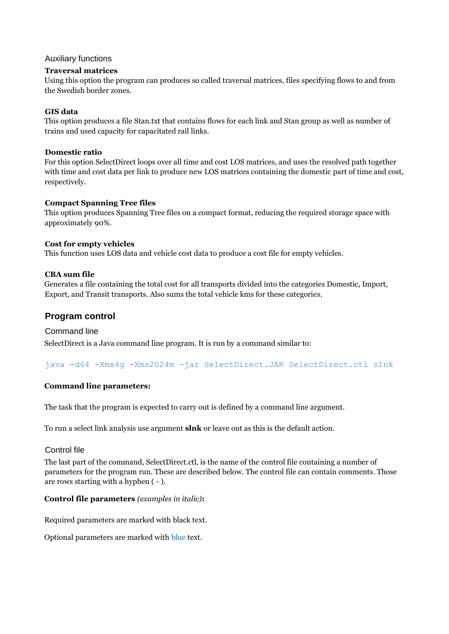#### <span id="page-4-0"></span>Auxiliary functions

#### **Traversal matrices**

Using this option the program can produces so called traversal matrices, files specifying flows to and from the Swedish border zones.

#### **GIS data**

This option produces a file Stan.txt that contains flows for each link and Stan group as well as number of trains and used capacity for capacitated rail links.

#### **Domestic ratio**

For this option SelectDirect loops over all time and cost LOS matrices, and uses the resolved path together with time and cost data per link to produce new LOS matrices containing the domestic part of time and cost, respectively.

#### **Compact Spanning Tree files**

This option produces Spanning Tree files on a compact format, reducing the required storage space with approximately 90%.

#### **Cost for empty vehicles**

This function uses LOS data and vehicle cost data to produce a cost file for empty vehicles.

#### **CBA sum file**

Generates a file containing the total cost for all transports divided into the categories Domestic, Import, Export, and Transit transports. Also sums the total vehicle kms for these categories.

# <span id="page-4-1"></span>**Program control**

#### <span id="page-4-2"></span>Command line

SelectDirect is a Java command line program. It is run by a command similar to:

java -d64 -Xmx4g -Xms2024m -jar SelectDirect.JAR SelectDirect.ctl slnk

#### **Command line parameters:**

The task that the program is expected to carry out is defined by a command line argument.

To run a select link analysis use argument **slnk** or leave out as this is the default action.

## <span id="page-4-3"></span>Control file

The last part of the command, SelectDirect.ctl, is the name of the control file containing a number of parameters for the program run. These are described below. The control file can contain comments. Those are rows starting with a hyphen ( - ).

#### **Control file parameters** *(examples in italic)***:**

Required parameters are marked with black text.

Optional parameters are marked with blue text.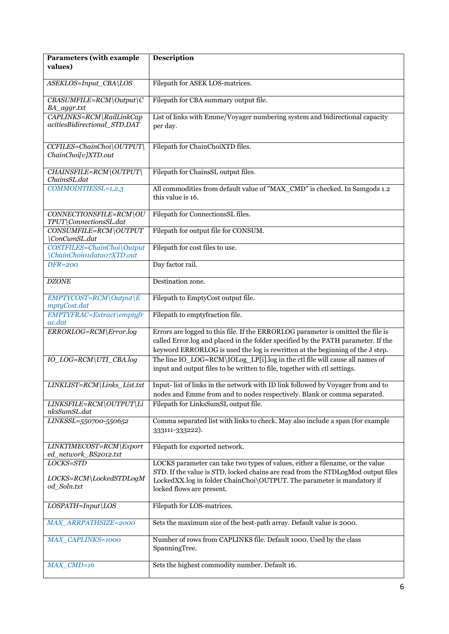| <b>Parameters</b> (with example<br>values)             | Description                                                                                                                                                                                                                                                              |
|--------------------------------------------------------|--------------------------------------------------------------------------------------------------------------------------------------------------------------------------------------------------------------------------------------------------------------------------|
|                                                        |                                                                                                                                                                                                                                                                          |
| ASEKLOS=Input_CBA\LOS                                  | Filepath for ASEK LOS-matrices.                                                                                                                                                                                                                                          |
| $CBASUMFILE=RCM\text{Output}\$ C<br>BA_aggr.txt        | Filepath for CBA summary output file.                                                                                                                                                                                                                                    |
| CAPLINKS=RCM\RailLinkCap                               | List of links with Emme/Voyager numbering system and bidirectional capacity                                                                                                                                                                                              |
| acitiesBidirectional_STD.DAT                           | per day.                                                                                                                                                                                                                                                                 |
| CCFILES=ChainChoi\OUTPUT\<br>ChainChoi[v]XTD.out       | Filepath for ChainChoiXTD files.                                                                                                                                                                                                                                         |
| CHAINSFILE=RCM\OUTPUT\<br>ChainsSL.dat                 | Filepath for ChainsSL output files.                                                                                                                                                                                                                                      |
| COMMODITIESSL=1,2,3                                    | All commodities from default value of "MAX_CMD" is checked. In Samgods 1.2<br>this value is 16.                                                                                                                                                                          |
| CONNECTIONSFILE=RCM\OU<br>TPUT\ConnectionsSL.dat       | Filepath for ConnectionsSL files.                                                                                                                                                                                                                                        |
| CONSUMFILE=RCM\OUTPUT<br>ConCumSL.dat                  | Filepath for output file for CONSUM.                                                                                                                                                                                                                                     |
| COSTFILES=ChainChoi\Output<br>ChainChoio1data07XTD.out | Filepath for cost files to use.                                                                                                                                                                                                                                          |
| <b>DFR=200</b>                                         | Day factor rail.                                                                                                                                                                                                                                                         |
| <b>DZONE</b>                                           | Destination zone.                                                                                                                                                                                                                                                        |
| EMPTYCOST=RCM\Output\E<br>mptyCost.dat                 | Filepath to EmptyCost output file.                                                                                                                                                                                                                                       |
| EMPTYFRAC=Extract\emptyfr<br>ac.dat                    | Filepath to emptyfraction file.                                                                                                                                                                                                                                          |
| ERRORLOG=RCM\Error.log                                 | Errors are logged to this file. If the ERRORLOG parameter is omitted the file is<br>called Error.log and placed in the folder specified by the PATH parameter. If the<br>keyword ERRORLOG is used the log is rewritten at the beginning of the J step.                   |
| IO_LOG=RCM\UTI_CBA.log                                 | The line IO_LOG=RCM\IOLog_LP[i].log in the ctl file will cause all names of<br>input and output files to be written to file, together with ctl settings.                                                                                                                 |
| LINKLIST=RCM\Links_List.txt                            | Input- list of links in the network with ID link followed by Voyager from and to<br>nodes and Emme from and to nodes respectively. Blank or comma separated.                                                                                                             |
| LINKSFILE=RCM\OUTPUT\Li<br>nksSumSL.dat                | Filepath for LinksSumSL output file.                                                                                                                                                                                                                                     |
| LINKSSL=550700-550652                                  | Comma separated list with links to check. May also include a span (for example<br>333111-333222).                                                                                                                                                                        |
| LINKTIMECOST=RCM\Export<br>ed_network_BS2012.txt       | Filepath for exported network.                                                                                                                                                                                                                                           |
| LOCKS=STD<br>LOCKS=RCM\LockedSTDLogM<br>od_Soln.txt    | LOCKS parameter can take two types of values, either a filename, or the value<br>STD. If the value is STD, locked chains are read from the STDLogMod output files<br>LockedXX.log in folder ChainChoi\OUTPUT. The parameter is mandatory if<br>locked flows are present. |
| $LOSPATH = Input$   LOS                                | Filepath for LOS-matrices.                                                                                                                                                                                                                                               |
| MAX_ARRPATHSIZE=2000                                   | Sets the maximum size of the best-path array. Default value is 2000.                                                                                                                                                                                                     |
| MAX_CAPLINKS=1000                                      | Number of rows from CAPLINKS file. Default 1000. Used by the class<br>SpanningTree.                                                                                                                                                                                      |
| $MAX$ <sub>CMD=16</sub>                                | Sets the highest commodity number. Default 16.                                                                                                                                                                                                                           |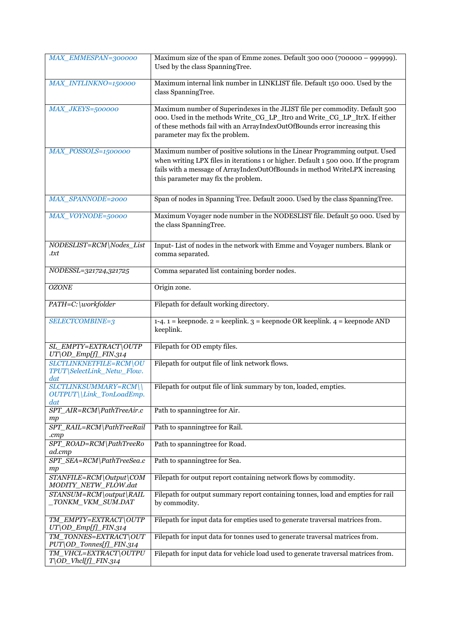| MAX_EMMESPAN=300000                                         | Maximum size of the span of Emme zones. Default 300 000 (700000 - 999999).<br>Used by the class SpanningTree.                                                                                                                                                                            |
|-------------------------------------------------------------|------------------------------------------------------------------------------------------------------------------------------------------------------------------------------------------------------------------------------------------------------------------------------------------|
| MAX_INTLINKNO=150000                                        | Maximum internal link number in LINKLIST file. Default 150 000. Used by the<br>class SpanningTree.                                                                                                                                                                                       |
| MAX_JKEYS=500000                                            | Maximum number of Superindexes in the JLIST file per commodity. Default 500<br>000. Used in the methods Write_CG_LP_Itro and Write_CG_LP_ItrX. If either<br>of these methods fail with an ArrayIndexOutOfBounds error increasing this<br>parameter may fix the problem.                  |
| MAX_POSSOLS=1500000                                         | Maximum number of positive solutions in the Linear Programming output. Used<br>when writing LPX files in iterations 1 or higher. Default 1 500 000. If the program<br>fails with a message of ArrayIndexOutOfBounds in method WriteLPX increasing<br>this parameter may fix the problem. |
| <b>MAX_SPANNODE=2000</b>                                    | Span of nodes in Spanning Tree. Default 2000. Used by the class SpanningTree.                                                                                                                                                                                                            |
| MAX_VOYNODE=50000                                           | Maximum Voyager node number in the NODESLIST file. Default 50 000. Used by<br>the class SpanningTree.                                                                                                                                                                                    |
| NODESLIST=RCM\Nodes_List<br>.txt                            | Input-List of nodes in the network with Emme and Voyager numbers. Blank or<br>comma separated.                                                                                                                                                                                           |
| NODESSL=321724,321725                                       | Comma separated list containing border nodes.                                                                                                                                                                                                                                            |
| <b>OZONE</b>                                                | Origin zone.                                                                                                                                                                                                                                                                             |
| PATH=C:\workfolder                                          | Filepath for default working directory.                                                                                                                                                                                                                                                  |
| SELECTCOMBINE=3                                             | 1-4. 1 = keepnode. 2 = keeplink. 3 = keepnode OR keeplink. 4 = keepnode AND<br>keeplink.                                                                                                                                                                                                 |
| SL_EMPTY=EXTRACT\OUTP<br>UT\OD_Emp[f]_FIN.314               | Filepath for OD empty files.                                                                                                                                                                                                                                                             |
| SLCTLINKNETFILE=RCM\OU<br>TPUT\SelectLink_Netw_Flow.<br>dat | Filepath for output file of link network flows.                                                                                                                                                                                                                                          |
| SLCTLINKSUMMARY=RCM<br>OUTPUT\\Link_TonLoadEmp.<br>dat      | Filepath for output file of link summary by ton, loaded, empties.                                                                                                                                                                                                                        |
| SPT_AIR=RCM\PathTreeAir.c<br>mp                             | Path to spanningtree for Air.                                                                                                                                                                                                                                                            |
| SPT_RAIL=RCM\PathTreeRail<br>.cmp                           | Path to spanningtree for Rail.                                                                                                                                                                                                                                                           |
| SPT_ROAD=RCM\PathTreeRo<br>ad.cmp                           | Path to spanningtree for Road.                                                                                                                                                                                                                                                           |
| SPT_SEA=RCM\PathTreeSea.c<br>mp                             | Path to spanningtree for Sea.                                                                                                                                                                                                                                                            |
| STANFILE=RCM\Output\COM<br>MODITY_NETW_FLOW.dat             | Filepath for output report containing network flows by commodity.                                                                                                                                                                                                                        |
| STANSUM=RCM\output\RAIL<br>_TONKM_VKM_SUM.DAT               | Filepath for output summary report containing tonnes, load and empties for rail<br>by commodity.                                                                                                                                                                                         |
| TM_EMPTY=EXTRACT\OUTP<br>UT\OD_Emp[f]_FIN.314               | Filepath for input data for empties used to generate traversal matrices from.                                                                                                                                                                                                            |
| TM_TONNES=EXTRACT\OUT<br>PUT\OD_Tonnes[f]_FIN.314           | Filepath for input data for tonnes used to generate traversal matrices from.                                                                                                                                                                                                             |
| TM_VHCL=EXTRACT\OUTPU<br>$T[OD_V \textit{hcl[f]}\_F$ IN.314 | Filepath for input data for vehicle load used to generate traversal matrices from.                                                                                                                                                                                                       |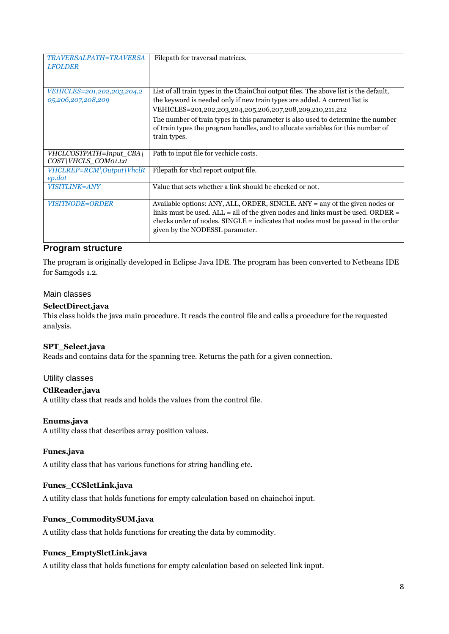| TRAVERSALPATH=TRAVERSA<br><b>LFOLDER</b>         | Filepath for traversal matrices.                                                                                                                                                                                                                                                         |
|--------------------------------------------------|------------------------------------------------------------------------------------------------------------------------------------------------------------------------------------------------------------------------------------------------------------------------------------------|
|                                                  |                                                                                                                                                                                                                                                                                          |
| VEHICLES=201,202,203,204,2<br>05,206,207,208,209 | List of all train types in the ChainChoi output files. The above list is the default,<br>the keyword is needed only if new train types are added. A current list is                                                                                                                      |
|                                                  | VEHICLES=201,202,203,204,205,206,207,208,209,210,211,212                                                                                                                                                                                                                                 |
|                                                  | The number of train types in this parameter is also used to determine the number<br>of train types the program handles, and to allocate variables for this number of<br>train types.                                                                                                     |
| VHCLCOSTPATH=Input CBA\<br>COST\VHCLS_COM01.txt  | Path to input file for vechicle costs.                                                                                                                                                                                                                                                   |
| VHCLREP=RCM\Output\VhclR<br>ep.dat               | Filepath for vhcl report output file.                                                                                                                                                                                                                                                    |
| VISITLINK=ANY                                    | Value that sets whether a link should be checked or not.                                                                                                                                                                                                                                 |
| <i>VISITNODE=ORDER</i>                           | Available options: ANY, ALL, ORDER, SINGLE. ANY = any of the given nodes or<br>links must be used. $ALL = all$ of the given nodes and links must be used. ORDER =<br>checks order of nodes. SINGLE = indicates that nodes must be passed in the order<br>given by the NODESSL parameter. |

# <span id="page-7-0"></span>**Program structure**

The program is originally developed in Eclipse Java IDE. The program has been converted to Netbeans IDE for Samgods 1.2.

#### <span id="page-7-1"></span>Main classes

#### **SelectDirect.java**

This class holds the java main procedure. It reads the control file and calls a procedure for the requested analysis.

#### **SPT\_Select.java**

Reads and contains data for the spanning tree. Returns the path for a given connection.

## <span id="page-7-2"></span>Utility classes

#### **CtlReader.java**

A utility class that reads and holds the values from the control file.

#### **Enums.java**

A utility class that describes array position values.

#### **Funcs.java**

A utility class that has various functions for string handling etc.

#### **Funcs\_CCSlctLink.java**

A utility class that holds functions for empty calculation based on chainchoi input.

### **Funcs\_CommoditySUM.java**

A utility class that holds functions for creating the data by commodity.

#### **Funcs\_EmptySlctLink.java**

A utility class that holds functions for empty calculation based on selected link input.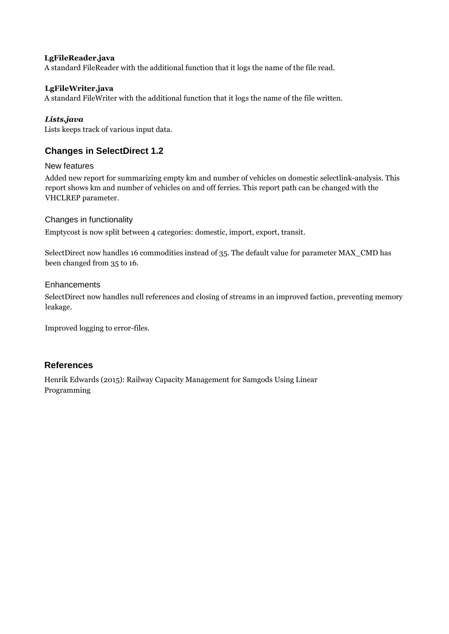#### **LgFileReader.java**

A standard FileReader with the additional function that it logs the name of the file read.

#### **LgFileWriter.java**

A standard FileWriter with the additional function that it logs the name of the file written.

### *Lists.java*

Lists keeps track of various input data.

# <span id="page-8-0"></span>**Changes in SelectDirect 1.2**

#### <span id="page-8-1"></span>New features

Added new report for summarizing empty km and number of vehicles on domestic selectlink-analysis. This report shows km and number of vehicles on and off ferries. This report path can be changed with the VHCLREP parameter.

#### <span id="page-8-2"></span>Changes in functionality

Emptycost is now split between 4 categories: domestic, import, export, transit.

SelectDirect now handles 16 commodities instead of 35. The default value for parameter MAX\_CMD has been changed from 35 to 16.

#### <span id="page-8-3"></span>**Enhancements**

SelectDirect now handles null references and closing of streams in an improved faction, preventing memory leakage.

Improved logging to error-files.

# <span id="page-8-4"></span>**References**

Henrik Edwards (2015): Railway Capacity Management for Samgods Using Linear Programming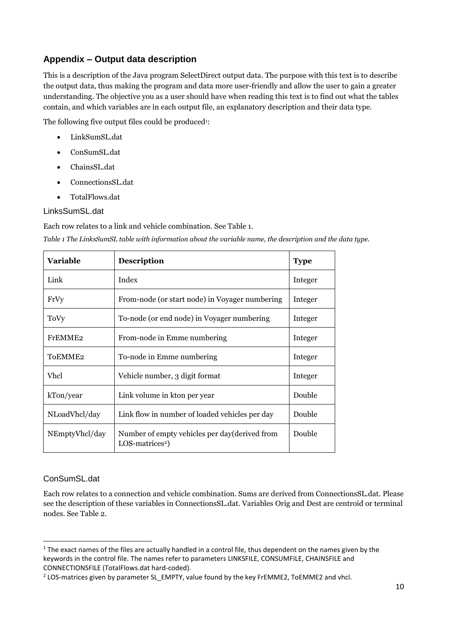# <span id="page-9-0"></span>**Appendix – Output data description**

This is a description of the Java program SelectDirect output data. The purpose with this text is to describe the output data, thus making the program and data more user-friendly and allow the user to gain a greater understanding. The objective you as a user should have when reading this text is to find out what the tables contain, and which variables are in each output file, an explanatory description and their data type.

The following five output files could be produced<sup>1</sup>:

- LinkSumSL.dat
- ConSumSL.dat
- ChainsSL.dat
- ConnectionsSL.dat
- TotalFlows.dat

## <span id="page-9-1"></span>LinksSumSL.dat

Each row relates to a link and vehicle combination. See [Table 1.](#page-9-3)

<span id="page-9-3"></span>*Table 1 The LinksSumSL table with information about the variable name, the description and the data type.*

| <b>Variable</b>     | <b>Description</b>                                                            | <b>Type</b> |
|---------------------|-------------------------------------------------------------------------------|-------------|
| Link                | Index                                                                         | Integer     |
| FrVy                | From-node (or start node) in Voyager numbering                                | Integer     |
| ToVy                | To-node (or end node) in Voyager numbering                                    | Integer     |
| FrEMME <sub>2</sub> | From-node in Emme numbering                                                   | Integer     |
| ToEMME <sub>2</sub> | To-node in Emme numbering                                                     | Integer     |
| Vhcl                | Vehicle number, 3 digit format                                                | Integer     |
| kTon/year           | Link volume in kton per year                                                  | Double      |
| NLoadVhcl/day       | Link flow in number of loaded vehicles per day                                | Double      |
| NEmptyVhcl/day      | Number of empty vehicles per day (derived from<br>LOS-matrices <sup>2</sup> ) | Double      |

## <span id="page-9-2"></span>ConSumSL.dat

 $\overline{a}$ 

Each row relates to a connection and vehicle combination. Sums are derived from ConnectionsSL.dat. Please see the description of these variables in ConnectionsSL.dat. Variables Orig and Dest are centroid or terminal nodes. See [Table 2.](#page-10-1)

 $1$  The exact names of the files are actually handled in a control file, thus dependent on the names given by the keywords in the control file. The names refer to parameters LINKSFILE, CONSUMFILE, CHAINSFILE and CONNECTIONSFILE (TotalFlows.dat hard-coded).

<sup>&</sup>lt;sup>2</sup> LOS-matrices given by parameter SL\_EMPTY, value found by the key FrEMME2, ToEMME2 and vhcl.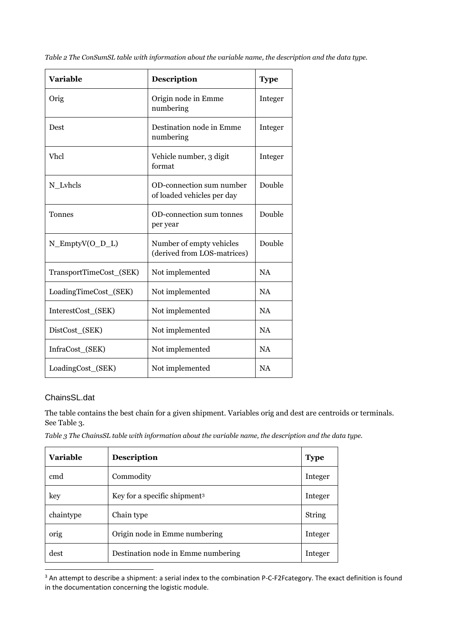| <b>Variable</b>         | Description                                             | <b>Type</b> |
|-------------------------|---------------------------------------------------------|-------------|
| Orig                    | Origin node in Emme<br>numbering                        | Integer     |
| Dest                    | Destination node in Emme<br>numbering                   | Integer     |
| <b>Vhcl</b>             | Vehicle number, 3 digit<br>format                       | Integer     |
| N_Lvhcls                | OD-connection sum number<br>of loaded vehicles per day  | Double      |
| <b>Tonnes</b>           | OD-connection sum tonnes<br>per year                    | Double      |
| $N$ _EmptyV(O_D_L)      | Number of empty vehicles<br>(derived from LOS-matrices) | Double      |
| TransportTimeCost_(SEK) | Not implemented                                         | <b>NA</b>   |
| LoadingTimeCost_(SEK)   | Not implemented                                         | <b>NA</b>   |
| InterestCost_(SEK)      | Not implemented                                         | <b>NA</b>   |
| DistCost_(SEK)          | Not implemented                                         | <b>NA</b>   |
| InfraCost_(SEK)         | Not implemented                                         | <b>NA</b>   |
| LoadingCost_(SEK)       | Not implemented                                         | <b>NA</b>   |

<span id="page-10-1"></span>*Table 2 The ConSumSL table with information about the variable name, the description and the data type.*

## <span id="page-10-0"></span>ChainsSL.dat

 $\overline{a}$ 

The table contains the best chain for a given shipment. Variables orig and dest are centroids or terminals. See [Table 3.](#page-10-2)

<span id="page-10-2"></span>*Table 3 The ChainsSL table with information about the variable name, the description and the data type.*

| <b>Variable</b> | <b>Description</b>                       | <b>Type</b> |
|-----------------|------------------------------------------|-------------|
| cmd             | Commodity                                | Integer     |
| key             | Key for a specific shipment <sup>3</sup> | Integer     |
| chaintype       | Chain type                               | String      |
| orig            | Origin node in Emme numbering            | Integer     |
| dest            | Destination node in Emme numbering       | Integer     |

<sup>3</sup> An attempt to describe a shipment: a serial index to the combination P-C-F2Fcategory. The exact definition is found in the documentation concerning the logistic module.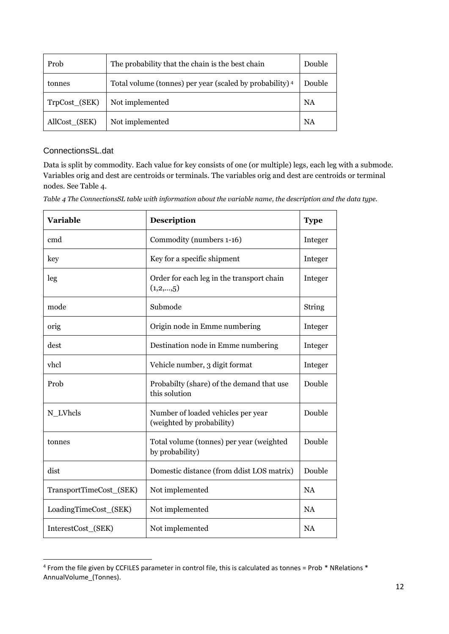| Prob          | The probability that the chain is the best chain         | Double |
|---------------|----------------------------------------------------------|--------|
| tonnes        | Total volume (tonnes) per year (scaled by probability) 4 | Double |
| TrpCost_(SEK) | Not implemented                                          | NA     |
| AllCost_(SEK) | Not implemented                                          | NA     |

# <span id="page-11-0"></span>ConnectionsSL.dat

 $\overline{a}$ 

Data is split by commodity. Each value for key consists of one (or multiple) legs, each leg with a submode. Variables orig and dest are centroids or terminals. The variables orig and dest are centroids or terminal nodes. See [Table 4.](#page-11-1)

<span id="page-11-1"></span>*Table 4 The ConnectionsSL table with information about the variable name, the description and the data type.*

| <b>Variable</b>         | <b>Description</b>                                              | <b>Type</b> |
|-------------------------|-----------------------------------------------------------------|-------------|
| cmd                     | Commodity (numbers 1-16)                                        | Integer     |
| key                     | Key for a specific shipment                                     | Integer     |
| leg                     | Order for each leg in the transport chain<br>(1,2,,5)           | Integer     |
| mode                    | Submode                                                         | String      |
| orig                    | Origin node in Emme numbering                                   | Integer     |
| dest                    | Destination node in Emme numbering                              | Integer     |
| vhcl                    | Vehicle number, 3 digit format                                  | Integer     |
| Prob                    | Probabilty (share) of the demand that use<br>this solution      | Double      |
| N_LVhcls                | Number of loaded vehicles per year<br>(weighted by probability) | Double      |
| tonnes                  | Total volume (tonnes) per year (weighted<br>by probability)     | Double      |
| dist                    | Domestic distance (from ddist LOS matrix)                       | Double      |
| TransportTimeCost_(SEK) | Not implemented                                                 | <b>NA</b>   |
| LoadingTimeCost_(SEK)   | Not implemented                                                 | <b>NA</b>   |
| InterestCost_(SEK)      | Not implemented                                                 | <b>NA</b>   |

<sup>&</sup>lt;sup>4</sup> From the file given by CCFILES parameter in control file, this is calculated as tonnes = Prob \* NRelations \* AnnualVolume\_(Tonnes).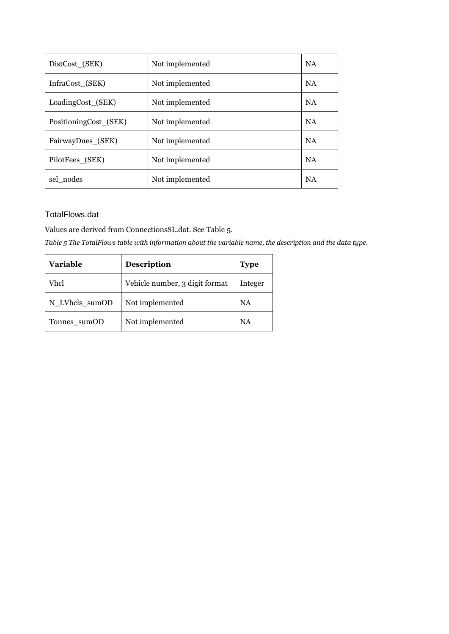| DistCost_(SEK)        | Not implemented | <b>NA</b> |
|-----------------------|-----------------|-----------|
| InfraCost (SEK)       | Not implemented | <b>NA</b> |
| LoadingCost_(SEK)     | Not implemented | <b>NA</b> |
| PositioningCost_(SEK) | Not implemented | <b>NA</b> |
| FairwayDues_(SEK)     | Not implemented | <b>NA</b> |
| PilotFees (SEK)       | Not implemented | <b>NA</b> |
| sel nodes             | Not implemented | <b>NA</b> |

# <span id="page-12-0"></span>TotalFlows.dat

Values are derived from ConnectionsSL.dat. Se[e Table 5.](#page-12-1)

<span id="page-12-1"></span>*Table 5 The TotalFlows table with information about the variable name, the description and the data type.*

| <b>Variable</b> | <b>Description</b>             | <b>Type</b> |
|-----------------|--------------------------------|-------------|
| Vhcl            | Vehicle number, 3 digit format | Integer     |
| N_LVhcls_sumOD  | Not implemented                | NA          |
| Tonnes_sumOD    | Not implemented                | NA          |